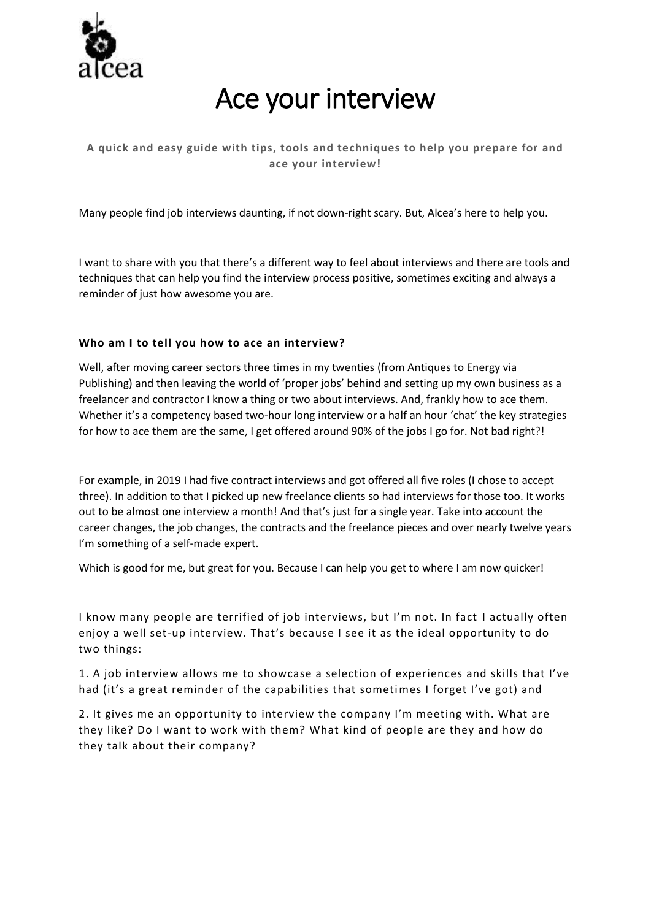

# Ace your interview

## **A quick and easy guide with tips, tools and techniques to help you prepare for and ace your interview!**

Many people find job interviews daunting, if not down-right scary. But, Alcea's here to help you.

I want to share with you that there's a different way to feel about interviews and there are tools and techniques that can help you find the interview process positive, sometimes exciting and always a reminder of just how awesome you are.

## **Who am I to tell you how to ace an interview?**

Well, after moving career sectors three times in my twenties (from Antiques to Energy via Publishing) and then leaving the world of 'proper jobs' behind and setting up my own business as a freelancer and contractor I know a thing or two about interviews. And, frankly how to ace them. Whether it's a competency based two-hour long interview or a half an hour 'chat' the key strategies for how to ace them are the same, I get offered around 90% of the jobs I go for. Not bad right?!

For example, in 2019 I had five contract interviews and got offered all five roles (I chose to accept three). In addition to that I picked up new freelance clients so had interviews for those too. It works out to be almost one interview a month! And that's just for a single year. Take into account the career changes, the job changes, the contracts and the freelance pieces and over nearly twelve years I'm something of a self-made expert.

Which is good for me, but great for you. Because I can help you get to where I am now quicker!

I know many people are terrified of job interviews, but I'm not. In fact I actually often enjoy a well set-up interview. That's because I see it as the ideal opportunity to do two things:

1. A job interview allows me to showcase a selection of experiences and skills that I've had (it's a great reminder of the capabilities that sometimes I forget I've got) and

2. It gives me an opportunity to interview the company I'm meeting with. What are they like? Do I want to work with them? What kind of people are they and how do they talk about their company?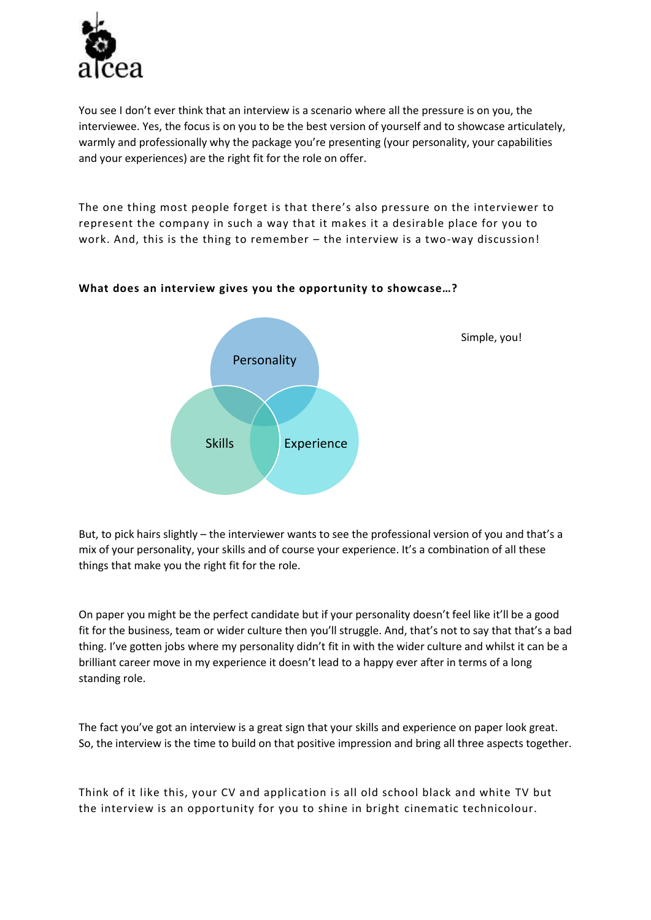

You see I don't ever think that an interview is a scenario where all the pressure is on you, the interviewee. Yes, the focus is on you to be the best version of yourself and to showcase articulately, warmly and professionally why the package you're presenting (your personality, your capabilities and your experiences) are the right fit for the role on offer.

The one thing most people forget is that there's also pressure on the interviewer to represent the company in such a way that it makes it a desirable place for you to work. And, this is the thing to remember – the interview is a two-way discussion!



## **What does an interview gives you the opportunity to showcase…?**

But, to pick hairs slightly – the interviewer wants to see the professional version of you and that's a mix of your personality, your skills and of course your experience. It's a combination of all these things that make you the right fit for the role.

On paper you might be the perfect candidate but if your personality doesn't feel like it'll be a good fit for the business, team or wider culture then you'll struggle. And, that's not to say that that's a bad thing. I've gotten jobs where my personality didn't fit in with the wider culture and whilst it can be a brilliant career move in my experience it doesn't lead to a happy ever after in terms of a long standing role.

The fact you've got an interview is a great sign that your skills and experience on paper look great. So, the interview is the time to build on that positive impression and bring all three aspects together.

Think of it like this, your CV and application is all old school black and white TV but the interview is an opportunity for you to shine in bright cinematic technicolour.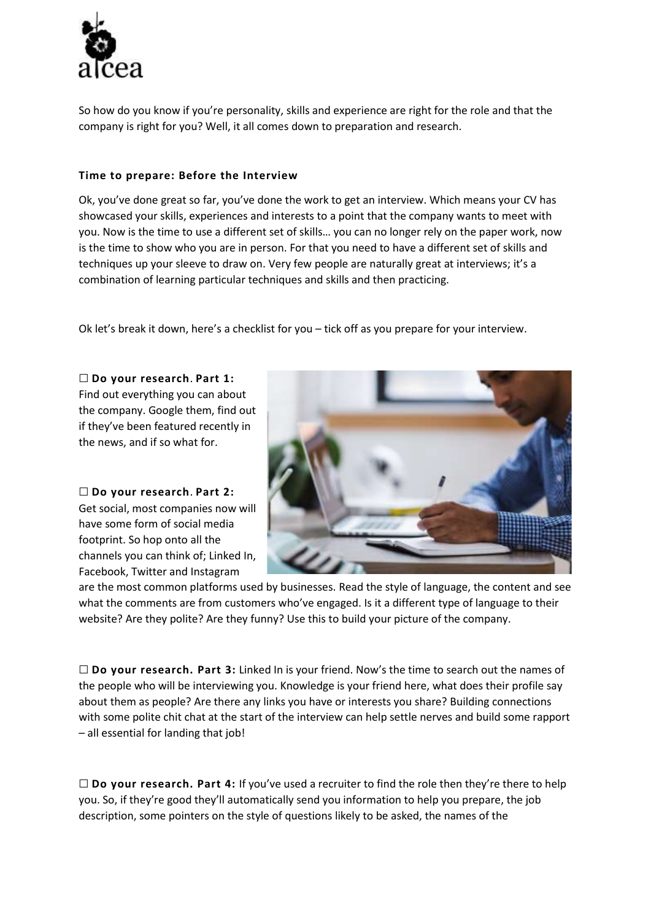

So how do you know if you're personality, skills and experience are right for the role and that the company is right for you? Well, it all comes down to preparation and research.

## **Time to prepare: Before the Interview**

Ok, you've done great so far, you've done the work to get an interview. Which means your CV has showcased your skills, experiences and interests to a point that the company wants to meet with you. Now is the time to use a different set of skills… you can no longer rely on the paper work, now is the time to show who you are in person. For that you need to have a different set of skills and techniques up your sleeve to draw on. Very few people are naturally great at interviews; it's a combination of learning particular techniques and skills and then practicing.

Ok let's break it down, here's a checklist for you – tick off as you prepare for your interview.

☐ **Do your research**. **Part 1:** Find out everything you can about the company. Google them, find out if they've been featured recently in the news, and if so what for.

☐ **Do your research**. **Part 2:** Get social, most companies now will have some form of social media footprint. So hop onto all the channels you can think of; Linked In, Facebook, Twitter and Instagram



are the most common platforms used by businesses. Read the style of language, the content and see what the comments are from customers who've engaged. Is it a different type of language to their website? Are they polite? Are they funny? Use this to build your picture of the company.

☐ **Do your research. Part 3:** Linked In is your friend. Now's the time to search out the names of the people who will be interviewing you. Knowledge is your friend here, what does their profile say about them as people? Are there any links you have or interests you share? Building connections with some polite chit chat at the start of the interview can help settle nerves and build some rapport – all essential for landing that job!

☐ **Do your research. Part 4:** If you've used a recruiter to find the role then they're there to help you. So, if they're good they'll automatically send you information to help you prepare, the job description, some pointers on the style of questions likely to be asked, the names of the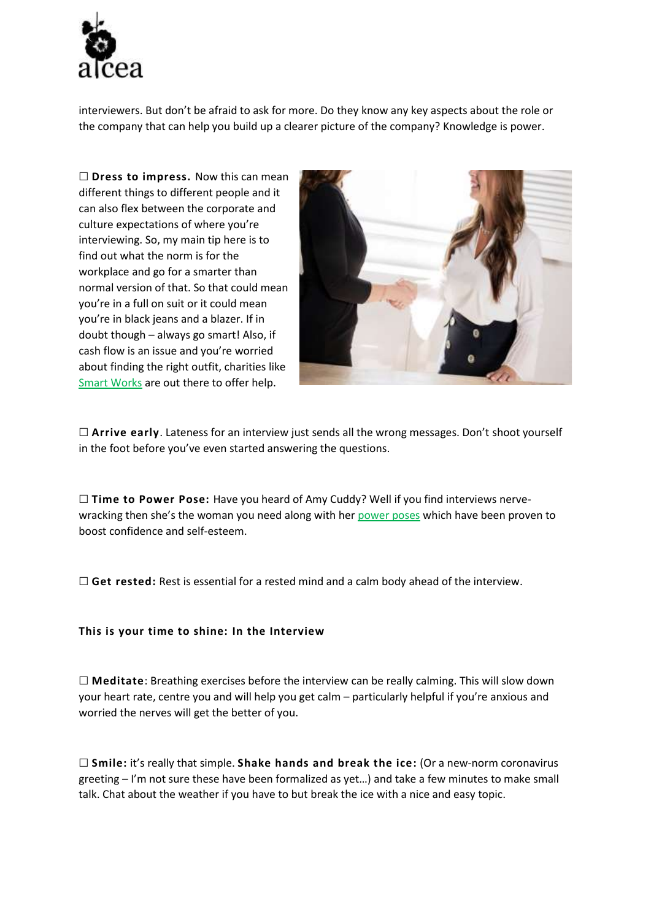

interviewers. But don't be afraid to ask for more. Do they know any key aspects about the role or the company that can help you build up a clearer picture of the company? Knowledge is power.

☐ **Dress to impress.** Now this can mean different things to different people and it can also flex between the corporate and culture expectations of where you're interviewing. So, my main tip here is to find out what the norm is for the workplace and go for a smarter than normal version of that. So that could mean you're in a full on suit or it could mean you're in black jeans and a blazer. If in doubt though – always go smart! Also, if cash flow is an issue and you're worried about finding the right outfit, charities like [Smart Works](https://smartworks.org.uk/) are out there to offer help.



☐ **Arrive early**. Lateness for an interview just sends all the wrong messages. Don't shoot yourself in the foot before you've even started answering the questions.

☐ **Time to Power Pose:** Have you heard of Amy Cuddy? Well if you find interviews nervewracking then she's the woman you need along with her [power poses](https://www.ted.com/talks/amy_cuddy_your_body_language_may_shape_who_you_are?utm_campaign=tedspread&utm_medium=referral&utm_source=tedcomshare) which have been proven to boost confidence and self-esteem.

☐ **Get rested:** Rest is essential for a rested mind and a calm body ahead of the interview.

#### **This is your time to shine: In the Interview**

☐ **Meditate**: Breathing exercises before the interview can be really calming. This will slow down your heart rate, centre you and will help you get calm – particularly helpful if you're anxious and worried the nerves will get the better of you.

☐ **Smile:** it's really that simple. **Shake hands and break the ice:** (Or a new-norm coronavirus greeting – I'm not sure these have been formalized as yet…) and take a few minutes to make small talk. Chat about the weather if you have to but break the ice with a nice and easy topic.